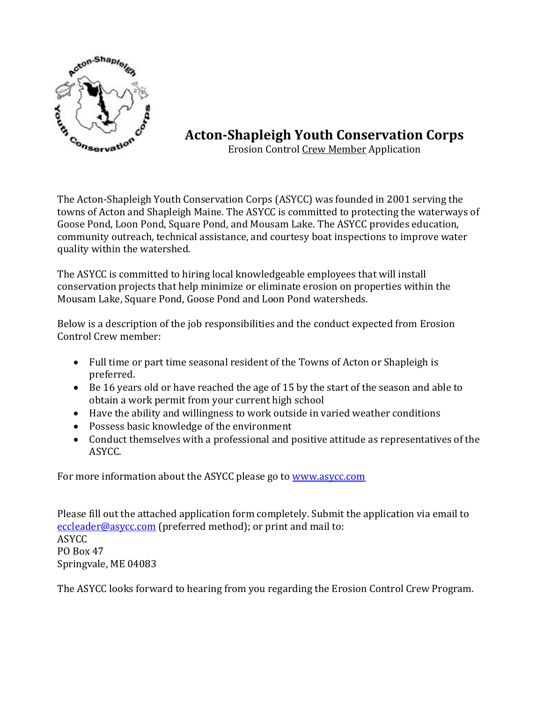

## **Acton-Shapleigh Youth Conservation Corps**

Erosion Control Crew Member Application

The Acton-Shapleigh Youth Conservation Corps (ASYCC) was founded in 2001 serving the towns of Acton and Shapleigh Maine. The ASYCC is committed to protecting the waterways of Goose Pond, Loon Pond, Square Pond, and Mousam Lake. The ASYCC provides education, community outreach, technical assistance, and courtesy boat inspections to improve water quality within the watershed.

The ASYCC is committed to hiring local knowledgeable employees that will install conservation projects that help minimize or eliminate erosion on properties within the Mousam Lake, Square Pond, Goose Pond and Loon Pond watersheds.

Below is a description of the job responsibilities and the conduct expected from Erosion Control Crew member:

- Full time or part time seasonal resident of the Towns of Acton or Shapleigh is preferred.
- Be 16 years old or have reached the age of 15 by the start of the season and able to obtain a work permit from your current high school
- Have the ability and willingness to work outside in varied weather conditions
- Possess basic knowledge of the environment
- Conduct themselves with a professional and positive attitude as representatives of the ASYCC.

For more information about the ASYCC please go to [www.asycc.com](http://www.asycc.com/)

Please fill out the attached application form completely. Submit the application via email to [eccleader@asycc.com](mailto:eccleader@asycc.com) (preferred method); or print and mail to: ASYCC PO Box 47 Springvale, ME 04083

The ASYCC looks forward to hearing from you regarding the Erosion Control Crew Program.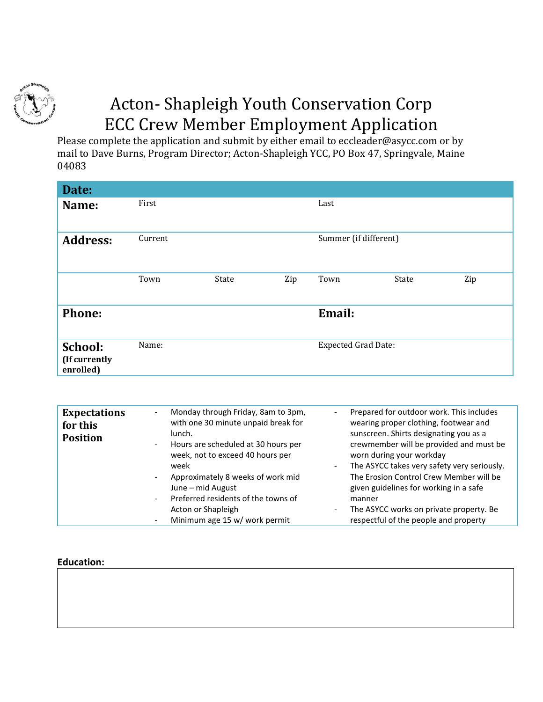

# Acton- Shapleigh Youth Conservation Corp ECC Crew Member Employment Application

Please complete the application and submit by either email to eccleader@asycc.com or by mail to Dave Burns, Program Director; Acton-Shapleigh YCC, PO Box 47, Springvale, Maine 04083

| Date:                                 |         |       |     |                            |       |     |
|---------------------------------------|---------|-------|-----|----------------------------|-------|-----|
| Name:                                 | First   |       |     | Last                       |       |     |
| <b>Address:</b>                       | Current |       |     | Summer (if different)      |       |     |
|                                       | Town    | State | Zip | Town                       | State | Zip |
| <b>Phone:</b>                         |         |       |     | Email:                     |       |     |
| School:<br>(If currently<br>enrolled) | Name:   |       |     | <b>Expected Grad Date:</b> |       |     |

| <b>Expectations</b><br>for this<br><b>Position</b> | Monday through Friday, 8am to 3pm,<br>with one 30 minute unpaid break for<br>lunch.<br>Hours are scheduled at 30 hours per<br>$\overline{\phantom{0}}$<br>week, not to exceed 40 hours per<br>week<br>Approximately 8 weeks of work mid<br>June – mid August<br>Preferred residents of the towns of<br>Acton or Shapleigh | Prepared for outdoor work. This includes<br>$\overline{\phantom{a}}$<br>wearing proper clothing, footwear and<br>sunscreen. Shirts designating you as a<br>crewmember will be provided and must be<br>worn during your workday<br>The ASYCC takes very safety very seriously.<br>$\overline{\phantom{a}}$<br>The Erosion Control Crew Member will be<br>given guidelines for working in a safe<br>manner<br>The ASYCC works on private property. Be<br>$\overline{\phantom{a}}$ |
|----------------------------------------------------|---------------------------------------------------------------------------------------------------------------------------------------------------------------------------------------------------------------------------------------------------------------------------------------------------------------------------|---------------------------------------------------------------------------------------------------------------------------------------------------------------------------------------------------------------------------------------------------------------------------------------------------------------------------------------------------------------------------------------------------------------------------------------------------------------------------------|
|                                                    | Minimum age 15 w/ work permit                                                                                                                                                                                                                                                                                             | respectful of the people and property                                                                                                                                                                                                                                                                                                                                                                                                                                           |

#### **Education:**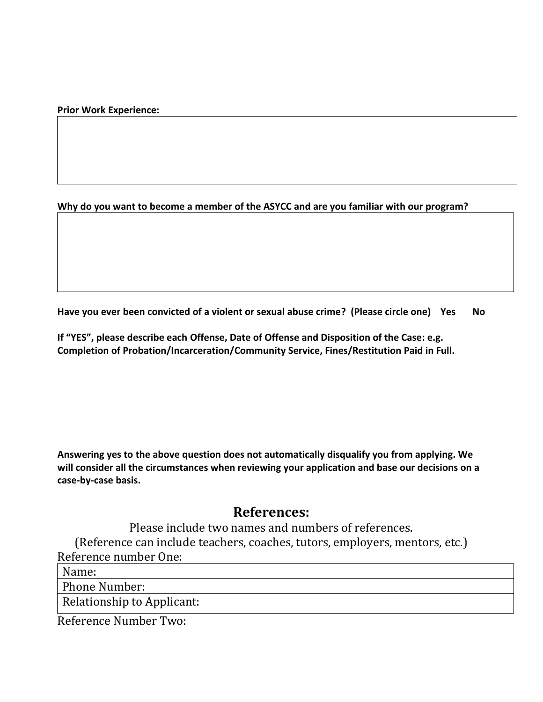**Prior Work Experience:**

#### **Why do you want to become a member of the ASYCC and are you familiar with our program?**

**Have you ever been convicted of a violent or sexual abuse crime? (Please circle one) Yes No**

**If "YES", please describe each Offense, Date of Offense and Disposition of the Case: e.g. Completion of Probation/Incarceration/Community Service, Fines/Restitution Paid in Full.** 

**Answering yes to the above question does not automatically disqualify you from applying. We will consider all the circumstances when reviewing your application and base our decisions on a case-by-case basis.**

### **References:**

Please include two names and numbers of references. (Reference can include teachers, coaches, tutors, employers, mentors, etc.) Reference number One:

Name:

Phone Number:

Relationship to Applicant:

Reference Number Two: